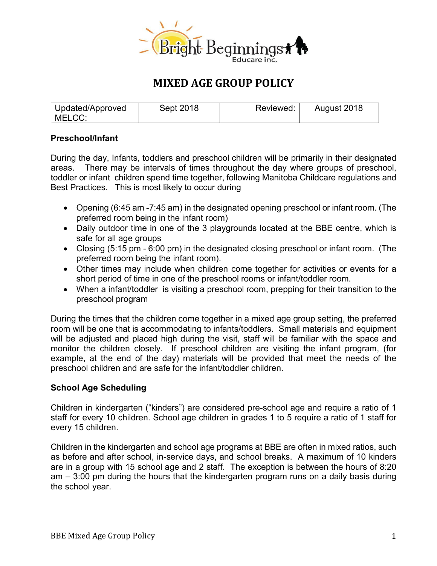

# **MIXED AGE GROUP POLICY**

| Updated/Approved | Sept 2018 | Reviewed: | August 2018 |
|------------------|-----------|-----------|-------------|
| MELCC:           |           |           |             |

## **Preschool/Infant**

During the day, Infants, toddlers and preschool children will be primarily in their designated areas. There may be intervals of times throughout the day where groups of preschool, toddler or infant children spend time together, following Manitoba Childcare regulations and Best Practices. This is most likely to occur during

- Opening (6:45 am -7:45 am) in the designated opening preschool or infant room. (The preferred room being in the infant room)
- Daily outdoor time in one of the 3 playgrounds located at the BBE centre, which is safe for all age groups
- Closing (5:15 pm 6:00 pm) in the designated closing preschool or infant room. (The preferred room being the infant room).
- Other times may include when children come together for activities or events for a short period of time in one of the preschool rooms or infant/toddler room.
- When a infant/toddler is visiting a preschool room, prepping for their transition to the preschool program

During the times that the children come together in a mixed age group setting, the preferred room will be one that is accommodating to infants/toddlers. Small materials and equipment will be adjusted and placed high during the visit, staff will be familiar with the space and monitor the children closely. If preschool children are visiting the infant program, (for example, at the end of the day) materials will be provided that meet the needs of the preschool children and are safe for the infant/toddler children.

#### **School Age Scheduling**

Children in kindergarten ("kinders") are considered pre-school age and require a ratio of 1 staff for every 10 children. School age children in grades 1 to 5 require a ratio of 1 staff for every 15 children.

Children in the kindergarten and school age programs at BBE are often in mixed ratios, such as before and after school, in-service days, and school breaks. A maximum of 10 kinders are in a group with 15 school age and 2 staff. The exception is between the hours of 8:20 am – 3:00 pm during the hours that the kindergarten program runs on a daily basis during the school year.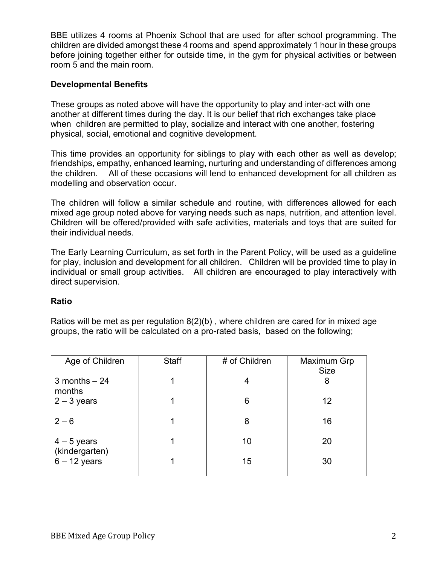BBE utilizes 4 rooms at Phoenix School that are used for after school programming. The children are divided amongst these 4 rooms and spend approximately 1 hour in these groups before joining together either for outside time, in the gym for physical activities or between room 5 and the main room.

## **Developmental Benefits**

These groups as noted above will have the opportunity to play and inter-act with one another at different times during the day. It is our belief that rich exchanges take place when children are permitted to play, socialize and interact with one another, fostering physical, social, emotional and cognitive development.

This time provides an opportunity for siblings to play with each other as well as develop; friendships, empathy, enhanced learning, nurturing and understanding of differences among the children. All of these occasions will lend to enhanced development for all children as modelling and observation occur.

The children will follow a similar schedule and routine, with differences allowed for each mixed age group noted above for varying needs such as naps, nutrition, and attention level. Children will be offered/provided with safe activities, materials and toys that are suited for their individual needs.

The Early Learning Curriculum, as set forth in the Parent Policy, will be used as a guideline for play, inclusion and development for all children. Children will be provided time to play in individual or small group activities. All children are encouraged to play interactively with direct supervision.

#### **Ratio**

Ratios will be met as per regulation 8(2)(b) , where children are cared for in mixed age groups, the ratio will be calculated on a pro-rated basis, based on the following;

| Age of Children               | <b>Staff</b> | # of Children | Maximum Grp |
|-------------------------------|--------------|---------------|-------------|
|                               |              |               | <b>Size</b> |
| $3$ months $-24$<br>months    |              | 4             | 8           |
| $2 - 3$ years                 |              | 6             | 12          |
| $2 - 6$                       |              | 8             | 16          |
| $4-5$ years<br>(kindergarten) |              | 10            | 20          |
| $6 - 12$ years                |              | 15            | 30          |